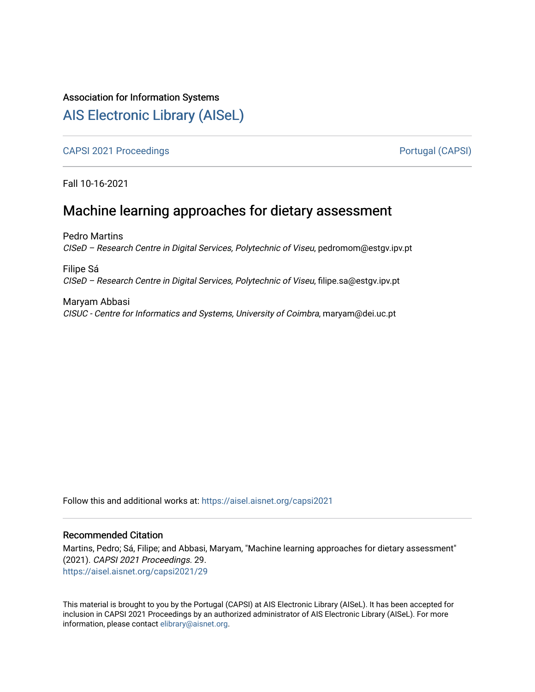## Association for Information Systems

# [AIS Electronic Library \(AISeL\)](https://aisel.aisnet.org/)

[CAPSI 2021 Proceedings](https://aisel.aisnet.org/capsi2021) **Portugal (CAPSI)** Portugal (CAPSI)

Fall 10-16-2021

# Machine learning approaches for dietary assessment

Pedro Martins CISeD – Research Centre in Digital Services, Polytechnic of Viseu, pedromom@estgv.ipv.pt

Filipe Sá CISeD – Research Centre in Digital Services, Polytechnic of Viseu, filipe.sa@estgv.ipv.pt

Maryam Abbasi CISUC - Centre for Informatics and Systems, University of Coimbra, maryam@dei.uc.pt

Follow this and additional works at: [https://aisel.aisnet.org/capsi2021](https://aisel.aisnet.org/capsi2021?utm_source=aisel.aisnet.org%2Fcapsi2021%2F29&utm_medium=PDF&utm_campaign=PDFCoverPages)

#### Recommended Citation

Martins, Pedro; Sá, Filipe; and Abbasi, Maryam, "Machine learning approaches for dietary assessment" (2021). CAPSI 2021 Proceedings. 29. [https://aisel.aisnet.org/capsi2021/29](https://aisel.aisnet.org/capsi2021/29?utm_source=aisel.aisnet.org%2Fcapsi2021%2F29&utm_medium=PDF&utm_campaign=PDFCoverPages) 

This material is brought to you by the Portugal (CAPSI) at AIS Electronic Library (AISeL). It has been accepted for inclusion in CAPSI 2021 Proceedings by an authorized administrator of AIS Electronic Library (AISeL). For more information, please contact [elibrary@aisnet.org.](mailto:elibrary@aisnet.org%3E)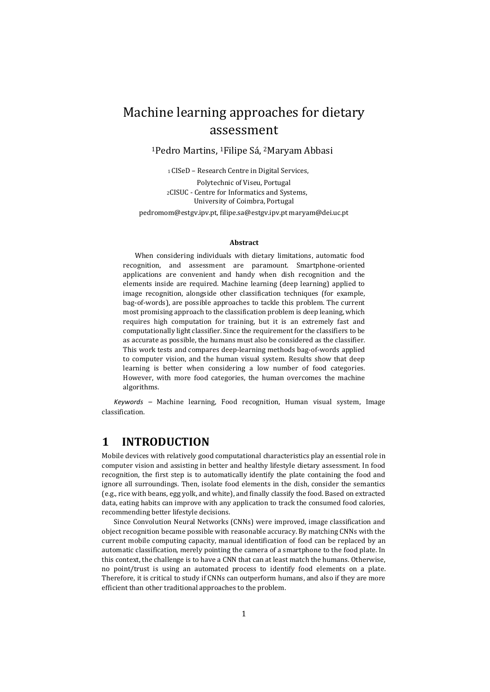# Machine learning approaches for dietary assessment

<sup>1</sup>Pedro Martins, 1Filipe Sá, <sup>2</sup>Maryam Abbasi

<sup>1</sup>CISeD – Research Centre in Digital Services,

Polytechnic of Viseu, Portugal <sup>2</sup>CISUC - Centre for Informatics and Systems, University of Coimbra, Portugal

pedromom@estgv.ipv.pt, filipe.sa@estgv.ipv.pt maryam@dei.uc.pt

#### **Abstract**

When considering individuals with dietary limitations, automatic food recognition, and assessment are paramount. Smartphone-oriented applications are convenient and handy when dish recognition and the elements inside are required. Machine learning (deep learning) applied to image recognition, alongside other classification techniques (for example, bag-of-words), are possible approaches to tackle this problem. The current most promising approach to the classification problem is deep leaning, which requires high computation for training, but it is an extremely fast and computationally light classifier. Since the requirement for the classifiers to be as accurate as possible, the humans must also be considered as the classifier. This work tests and compares deep-learning methods bag-of-words applied to computer vision, and the human visual system. Results show that deep learning is better when considering a low number of food categories. However, with more food categories, the human overcomes the machine algorithms.

*Keywords –* Machine learning, Food recognition, Human visual system, Image classification.

### **1 INTRODUCTION**

Mobile devices with relatively good computational characteristics play an essential role in computer vision and assisting in better and healthy lifestyle dietary assessment. In food recognition, the first step is to automatically identify the plate containing the food and ignore all surroundings. Then, isolate food elements in the dish, consider the semantics (e.g., rice with beans, egg yolk, and white), and finally classify the food. Based on extracted data, eating habits can improve with any application to track the consumed food calories, recommending better lifestyle decisions.

Since Convolution Neural Networks (CNNs) were improved, image classification and object recognition became possible with reasonable accuracy. By matching CNNs with the current mobile computing capacity, manual identification of food can be replaced by an automatic classification, merely pointing the camera of a smartphone to the food plate. In this context, the challenge is to have a CNN that can at least match the humans. Otherwise, no point/trust is using an automated process to identify food elements on a plate. Therefore, it is critical to study if CNNs can outperform humans, and also if they are more efficient than other traditional approaches to the problem.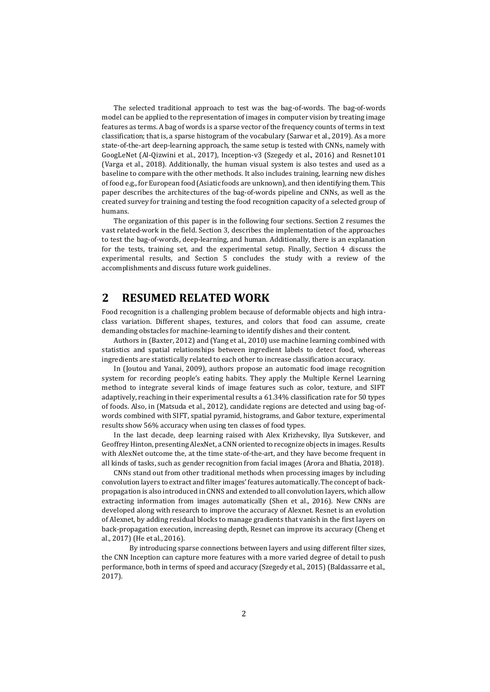The selected traditional approach to test was the bag-of-words. The bag-of-words model can be applied to the representation of images in computer vision by treating image features as terms. A bag of words is a sparse vector of the frequency counts of terms in text classification; that is, a sparse histogram of the vocabulary (Sarwar et al., 2019). As a more state-of-the-art deep-learning approach, the same setup is tested with CNNs, namely with GoogLeNet (Al-Qizwini et al., 2017), Inception-v3 (Szegedy et al., 2016) and Resnet101 (Varga et al., 2018). Additionally, the human visual system is also testes and used as a baseline to compare with the other methods. It also includes training, learning new dishes of food e.g., for European food (Asiatic foods are unknown), and then identifying them. This paper describes the architectures of the bag-of-words pipeline and CNNs, as well as the created survey for training and testing the food recognition capacity of a selected group of humans.

The organization of this paper is in the following four sections. Section 2 resumes the vast related-work in the field. Section 3, describes the implementation of the approaches to test the bag-of-words, deep-learning, and human. Additionally, there is an explanation for the tests, training set, and the experimental setup. Finally, Section 4 discuss the experimental results, and Section 5 concludes the study with a review of the accomplishments and discuss future work guidelines.

## **2 RESUMED RELATED WORK**

Food recognition is a challenging problem because of deformable objects and high intraclass variation. Different shapes, textures, and colors that food can assume, create demanding obstacles for machine-learning to identify dishes and their content.

Authors in (Baxter, 2012) and (Yang et al., 2010) use machine learning combined with statistics and spatial relationships between ingredient labels to detect food, whereas ingredients are statistically related to each other to increase classification accuracy.

In (Joutou and Yanai, 2009), authors propose an automatic food image recognition system for recording people's eating habits. They apply the Multiple Kernel Learning method to integrate several kinds of image features such as color, texture, and SIFT adaptively, reaching in their experimental results a 61.34% classification rate for 50 types of foods. Also, in (Matsuda et al., 2012), candidate regions are detected and using bag-ofwords combined with SIFT, spatial pyramid, histograms, and Gabor texture, experimental results show 56% accuracy when using ten classes of food types.

In the last decade, deep learning raised with Alex Krizhevsky, Ilya Sutskever, and Geoffrey Hinton, presenting AlexNet, a CNN oriented to recognize objects in images. Results with AlexNet outcome the, at the time state-of-the-art, and they have become frequent in all kinds of tasks, such as gender recognition from facial images (Arora and Bhatia, 2018).

CNNs stand out from other traditional methods when processing images by including convolution layers to extract and filter images' features automatically. The concept of backpropagation is also introduced in CNNS and extended to all convolution layers, which allow extracting information from images automatically (Shen et al., 2016). New CNNs are developed along with research to improve the accuracy of Alexnet. Resnet is an evolution of Alexnet, by adding residual blocks to manage gradients that vanish in the first layers on back-propagation execution, increasing depth, Resnet can improve its accuracy (Cheng et al., 2017) (He et al., 2016).

By introducing sparse connections between layers and using different filter sizes, the CNN Inception can capture more features with a more varied degree of detail to push performance, both in terms of speed and accuracy (Szegedy et al., 2015) (Baldassarre et al., 2017).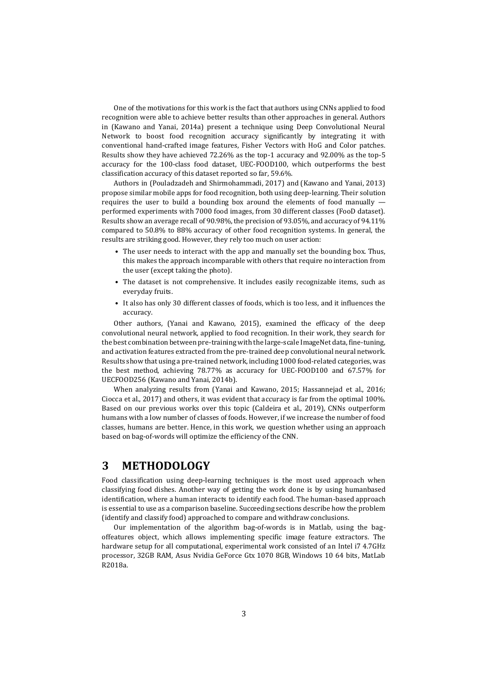One of the motivations for this work is the fact that authors using CNNs applied to food recognition were able to achieve better results than other approaches in general. Authors in (Kawano and Yanai, 2014a) present a technique using Deep Convolutional Neural Network to boost food recognition accuracy significantly by integrating it with conventional hand-crafted image features, Fisher Vectors with HoG and Color patches. Results show they have achieved 72.26% as the top-1 accuracy and 92.00% as the top-5 accuracy for the 100-class food dataset, UEC-FOOD100, which outperforms the best classification accuracy of this dataset reported so far, 59.6%.

Authors in (Pouladzadeh and Shirmohammadi, 2017) and (Kawano and Yanai, 2013) propose similar mobile apps for food recognition, both using deep-learning. Their solution requires the user to build a bounding box around the elements of food manually performed experiments with 7000 food images, from 30 different classes (FooD dataset). Results show an average recall of 90.98%, the precision of 93.05%, and accuracy of 94.11% compared to 50.8% to 88% accuracy of other food recognition systems. In general, the results are striking good. However, they rely too much on user action:

- The user needs to interact with the app and manually set the bounding box. Thus, this makes the approach incomparable with others that require no interaction from the user (except taking the photo).
- The dataset is not comprehensive. It includes easily recognizable items, such as everyday fruits.
- It also has only 30 different classes of foods, which is too less, and it influences the accuracy.

Other authors, (Yanai and Kawano, 2015), examined the efficacy of the deep convolutional neural network, applied to food recognition. In their work, they search for the best combination between pre-training with the large-scale ImageNet data, fine-tuning, and activation features extracted from the pre-trained deep convolutional neural network. Results show that using a pre-trained network, including 1000 food-related categories, was the best method, achieving 78.77% as accuracy for UEC-FOOD100 and 67.57% for UECFOOD256 (Kawano and Yanai, 2014b).

When analyzing results from (Yanai and Kawano, 2015; Hassannejad et al., 2016; Ciocca et al., 2017) and others, it was evident that accuracy is far from the optimal 100%. Based on our previous works over this topic (Caldeira et al., 2019), CNNs outperform humans with a low number of classes of foods. However, if we increase the number of food classes, humans are better. Hence, in this work, we question whether using an approach based on bag-of-words will optimize the efficiency of the CNN.

## **3 METHODOLOGY**

Food classification using deep-learning techniques is the most used approach when classifying food dishes. Another way of getting the work done is by using humanbased identification, where a human interacts to identify each food. The human-based approach is essential to use as a comparison baseline. Succeeding sections describe how the problem (identify and classify food) approached to compare and withdraw conclusions.

Our implementation of the algorithm bag-of-words is in Matlab, using the bagoffeatures object, which allows implementing specific image feature extractors. The hardware setup for all computational, experimental work consisted of an Intel i7 4.7GHz processor, 32GB RAM, Asus Nvidia GeForce Gtx 1070 8GB, Windows 10 64 bits, MatLab R2018a.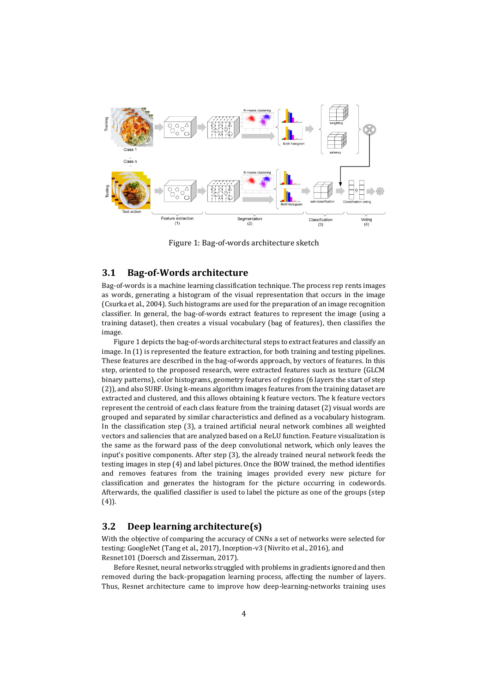

Figure 1: Bag-of-words architecture sketch

#### **3.1 Bag-of-Words architecture**

Bag-of-words is a machine learning classification technique. The process rep rents images as words, generating a histogram of the visual representation that occurs in the image (Csurka et al., 2004). Such histograms are used for the preparation of an image recognition classifier. In general, the bag-of-words extract features to represent the image (using a training dataset), then creates a visual vocabulary (bag of features), then classifies the image.

Figure 1 depicts the bag-of-words architectural steps to extract features and classify an image. In (1) is represented the feature extraction, for both training and testing pipelines. These features are described in the bag-of-words approach, by vectors of features. In this step, oriented to the proposed research, were extracted features such as texture (GLCM binary patterns), color histograms, geometry features of regions (6 layers the start of step (2)), and also SURF. Using k-means algorithm images features from the training dataset are extracted and clustered, and this allows obtaining k feature vectors. The k feature vectors represent the centroid of each class feature from the training dataset (2) visual words are grouped and separated by similar characteristics and defined as a vocabulary histogram. In the classification step (3), a trained artificial neural network combines all weighted vectors and saliencies that are analyzed based on a ReLU function. Feature visualization is the same as the forward pass of the deep convolutional network, which only leaves the input's positive components. After step (3), the already trained neural network feeds the testing images in step (4) and label pictures. Once the BOW trained, the method identifies and removes features from the training images provided every new picture for classification and generates the histogram for the picture occurring in codewords. Afterwards, the qualified classifier is used to label the picture as one of the groups (step (4)).

#### **3.2 Deep learning architecture(s)**

With the objective of comparing the accuracy of CNNs a set of networks were selected for testing: GoogleNet (Tang et al., 2017), Inception-v3 (Nivrito et al., 2016), and Resnet101 (Doersch and Zisserman, 2017).

Before Resnet, neural networks struggled with problems in gradients ignored and then removed during the back-propagation learning process, affecting the number of layers. Thus, Resnet architecture came to improve how deep-learning-networks training uses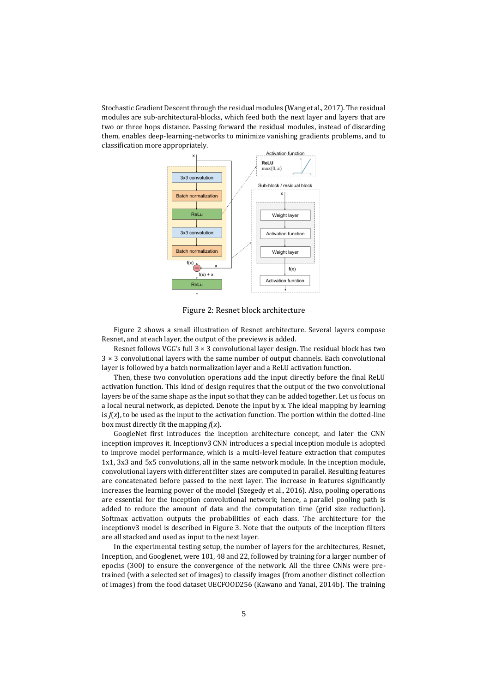Stochastic Gradient Descent through the residual modules (Wang et al., 2017). The residual modules are sub-architectural-blocks, which feed both the next layer and layers that are two or three hops distance. Passing forward the residual modules, instead of discarding them, enables deep-learning-networks to minimize vanishing gradients problems, and to classification more appropriately.



Figure 2: Resnet block architecture

Figure 2 shows a small illustration of Resnet architecture. Several layers compose Resnet, and at each layer, the output of the previews is added.

Resnet follows VGG's full  $3 \times 3$  convolutional layer design. The residual block has two 3 × 3 convolutional layers with the same number of output channels. Each convolutional layer is followed by a batch normalization layer and a ReLU activation function.

Then, these two convolution operations add the input directly before the final ReLU activation function. This kind of design requires that the output of the two convolutional layers be of the same shape as the input so that they can be added together. Let us focus on a local neural network, as depicted. Denote the input by x. The ideal mapping by learning is  $f(x)$ , to be used as the input to the activation function. The portion within the dotted-line box must directly fit the mapping *f*(*x*).

GoogleNet first introduces the inception architecture concept, and later the CNN inception improves it. Inceptionv3 CNN introduces a special inception module is adopted to improve model performance, which is a multi-level feature extraction that computes 1x1, 3x3 and 5x5 convolutions, all in the same network module. In the inception module, convolutional layers with different filter sizes are computed in parallel. Resulting features are concatenated before passed to the next layer. The increase in features significantly increases the learning power of the model (Szegedy et al., 2016). Also, pooling operations are essential for the Inception convolutional network; hence, a parallel pooling path is added to reduce the amount of data and the computation time (grid size reduction). Softmax activation outputs the probabilities of each class. The architecture for the inceptionv3 model is described in Figure 3. Note that the outputs of the inception filters are all stacked and used as input to the next layer.

In the experimental testing setup, the number of layers for the architectures, Resnet, Inception, and Googlenet, were 101, 48 and 22, followed by training for a larger number of epochs (300) to ensure the convergence of the network. All the three CNNs were pretrained (with a selected set of images) to classify images (from another distinct collection of images) from the food dataset UECFOOD256 (Kawano and Yanai, 2014b). The training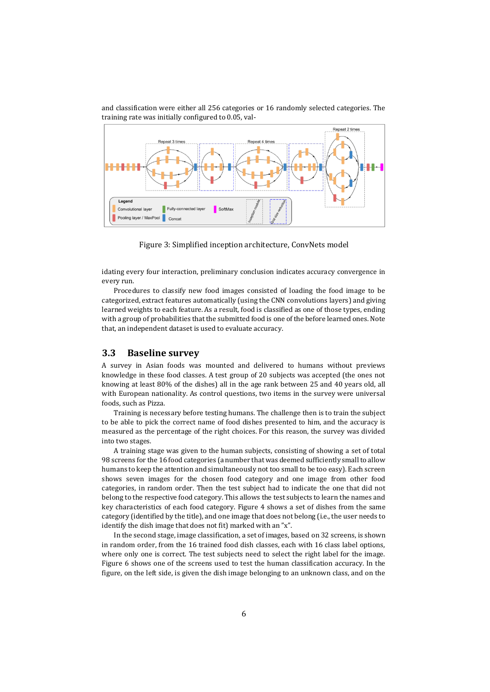and classification were either all 256 categories or 16 randomly selected categories. The training rate was initially configured to 0.05, val-



Figure 3: Simplified inception architecture, ConvNets model

idating every four interaction, preliminary conclusion indicates accuracy convergence in every run.

Procedures to classify new food images consisted of loading the food image to be categorized, extract features automatically (using the CNN convolutions layers) and giving learned weights to each feature. As a result, food is classified as one of those types, ending with a group of probabilities that the submitted food is one of the before learned ones. Note that, an independent dataset is used to evaluate accuracy.

#### **3.3 Baseline survey**

A survey in Asian foods was mounted and delivered to humans without previews knowledge in these food classes. A test group of 20 subjects was accepted (the ones not knowing at least 80% of the dishes) all in the age rank between 25 and 40 years old, all with European nationality. As control questions, two items in the survey were universal foods, such as Pizza.

Training is necessary before testing humans. The challenge then is to train the subject to be able to pick the correct name of food dishes presented to him, and the accuracy is measured as the percentage of the right choices. For this reason, the survey was divided into two stages.

A training stage was given to the human subjects, consisting of showing a set of total 98 screens for the 16 food categories (a number that was deemed sufficiently small to allow humans to keep the attention and simultaneously not too small to be too easy). Each screen shows seven images for the chosen food category and one image from other food categories, in random order. Then the test subject had to indicate the one that did not belong to the respective food category. This allows the test subjects to learn the names and key characteristics of each food category. Figure 4 shows a set of dishes from the same category (identified by the title), and one image that does not belong (i.e., the user needs to identify the dish image that does not fit) marked with an "x".

In the second stage, image classification, a set of images, based on 32 screens, is shown in random order, from the 16 trained food dish classes, each with 16 class label options, where only one is correct. The test subjects need to select the right label for the image. Figure 6 shows one of the screens used to test the human classification accuracy. In the figure, on the left side, is given the dish image belonging to an unknown class, and on the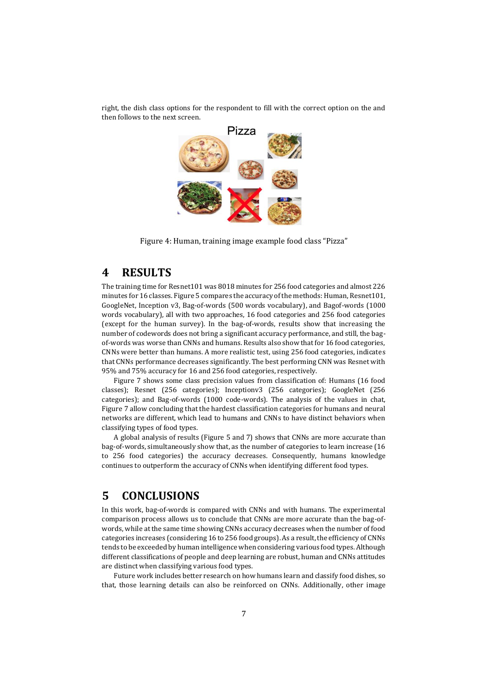right, the dish class options for the respondent to fill with the correct option on the and then follows to the next screen.



Figure 4: Human, training image example food class "Pizza"

## **4 RESULTS**

The training time for Resnet101 was 8018 minutes for 256 food categories and almost 226 minutes for 16 classes. Figure 5 compares the accuracy of the methods: Human, Resnet101, GoogleNet, Inception v3, Bag-of-words (500 words vocabulary), and Bagof-words (1000 words vocabulary), all with two approaches, 16 food categories and 256 food categories (except for the human survey). In the bag-of-words, results show that increasing the number of codewords does not bring a significant accuracy performance, and still, the bagof-words was worse than CNNs and humans. Results also show that for 16 food categories, CNNs were better than humans. A more realistic test, using 256 food categories, indicates that CNNs performance decreases significantly. The best performing CNN was Resnet with 95% and 75% accuracy for 16 and 256 food categories, respectively.

Figure 7 shows some class precision values from classification of: Humans (16 food classes); Resnet (256 categories); Inceptionv3 (256 categories); GoogleNet (256 categories); and Bag-of-words (1000 code-words). The analysis of the values in chat, Figure 7 allow concluding that the hardest classification categories for humans and neural networks are different, which lead to humans and CNNs to have distinct behaviors when classifying types of food types.

A global analysis of results (Figure 5 and 7) shows that CNNs are more accurate than bag-of-words, simultaneously show that, as the number of categories to learn increase (16 to 256 food categories) the accuracy decreases. Consequently, humans knowledge continues to outperform the accuracy of CNNs when identifying different food types.

## **5 CONCLUSIONS**

In this work, bag-of-words is compared with CNNs and with humans. The experimental comparison process allows us to conclude that CNNs are more accurate than the bag-ofwords, while at the same time showing CNNs accuracy decreases when the number of food categories increases (considering 16 to 256 food groups). As a result, the efficiency of CNNs tends to be exceeded by human intelligence when considering various food types. Although different classifications of people and deep learning are robust, human and CNNs attitudes are distinct when classifying various food types.

Future work includes better research on how humans learn and classify food dishes, so that, those learning details can also be reinforced on CNNs. Additionally, other image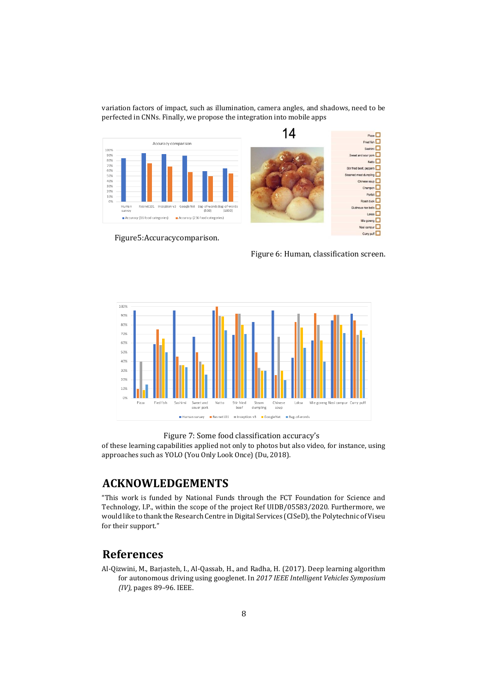variation factors of impact, such as illumination, camera angles, and shadows, need to be perfected in CNNs. Finally, we propose the integration into mobile apps



Figure5:Accuracycomparison.

Figure 6: Human, classification screen.



#### Figure 7: Some food classification accuracy's

of these learning capabilities applied not only to photos but also video, for instance, using approaches such as YOLO (You Only Look Once) (Du, 2018).

## **ACKNOWLEDGEMENTS**

"This work is funded by National Funds through the FCT Foundation for Science and Technology, I.P., within the scope of the project Ref UIDB/05583/2020. Furthermore, we would like to thank the Research Centre in Digital Services (CISeD), the Polytechnic of Viseu for their support."

## **References**

Al-Qizwini, M., Barjasteh, I., Al-Qassab, H., and Radha, H. (2017). Deep learning algorithm for autonomous driving using googlenet. In *2017 IEEE Intelligent Vehicles Symposium (IV)*, pages 89–96. IEEE.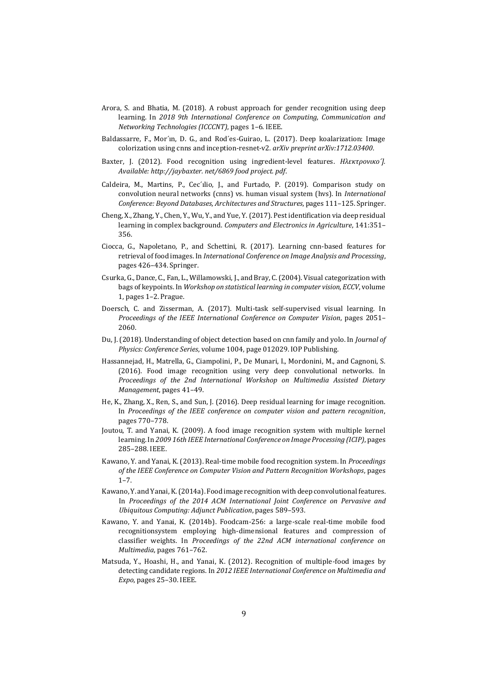- Arora, S. and Bhatia, M. (2018). A robust approach for gender recognition using deep learning. In *2018 9th International Conference on Computing, Communication and Networking Technologies (ICCCNT)*, pages 1–6. IEEE.
- Baldassarre, F., Mor´ın, D. G., and Rod´es-Guirao, L. (2017). Deep koalarization: Image colorization using cnns and inception-resnet-v2. *arXiv preprint arXiv:1712.03400*.
- Baxter, J. (2012). Food recognition using ingredient-level features. *Hλεκτρoνικo´]. Available: http://jaybaxter. net/6869 food project. pdf*.
- Caldeira, M., Martins, P., Cec´ılio, J., and Furtado, P. (2019). Comparison study on convolution neural networks (cnns) vs. human visual system (hvs). In *International Conference: Beyond Databases, Architectures and Structures*, pages 111–125. Springer.
- Cheng, X., Zhang, Y., Chen, Y., Wu, Y., and Yue, Y. (2017). Pest identification via deep residual learning in complex background. *Computers and Electronics in Agriculture*, 141:351– 356.
- Ciocca, G., Napoletano, P., and Schettini, R. (2017). Learning cnn-based features for retrieval of food images. In *International Conference on Image Analysis and Processing*, pages 426–434. Springer.
- Csurka, G., Dance, C., Fan, L., Willamowski, J., and Bray, C. (2004). Visual categorization with bags of keypoints. In *Workshop on statistical learning in computer vision, ECCV*, volume 1, pages 1–2. Prague.
- Doersch, C. and Zisserman, A. (2017). Multi-task self-supervised visual learning. In *Proceedings of the IEEE International Conference on Computer Vision*, pages 2051– 2060.
- Du, J. (2018). Understanding of object detection based on cnn family and yolo. In *Journal of Physics: Conference Series*, volume 1004, page 012029. IOP Publishing.
- Hassannejad, H., Matrella, G., Ciampolini, P., De Munari, I., Mordonini, M., and Cagnoni, S. (2016). Food image recognition using very deep convolutional networks. In *Proceedings of the 2nd International Workshop on Multimedia Assisted Dietary Management*, pages 41–49.
- He, K., Zhang, X., Ren, S., and Sun, J. (2016). Deep residual learning for image recognition. In *Proceedings of the IEEE conference on computer vision and pattern recognition*, pages 770–778.
- Joutou, T. and Yanai, K. (2009). A food image recognition system with multiple kernel learning. In *2009 16th IEEE International Conference on Image Processing (ICIP)*, pages 285–288. IEEE.
- Kawano, Y. and Yanai, K. (2013). Real-time mobile food recognition system. In *Proceedings of the IEEE Conference on Computer Vision and Pattern Recognition Workshops*, pages 1–7.
- Kawano, Y. and Yanai, K. (2014a). Food image recognition with deep convolutional features. In *Proceedings of the 2014 ACM International Joint Conference on Pervasive and Ubiquitous Computing: Adjunct Publication*, pages 589–593.
- Kawano, Y. and Yanai, K. (2014b). Foodcam-256: a large-scale real-time mobile food recognitionsystem employing high-dimensional features and compression of classifier weights. In *Proceedings of the 22nd ACM international conference on Multimedia*, pages 761–762.
- Matsuda, Y., Hoashi, H., and Yanai, K. (2012). Recognition of multiple-food images by detecting candidate regions. In *2012 IEEE International Conference on Multimedia and Expo*, pages 25–30. IEEE.